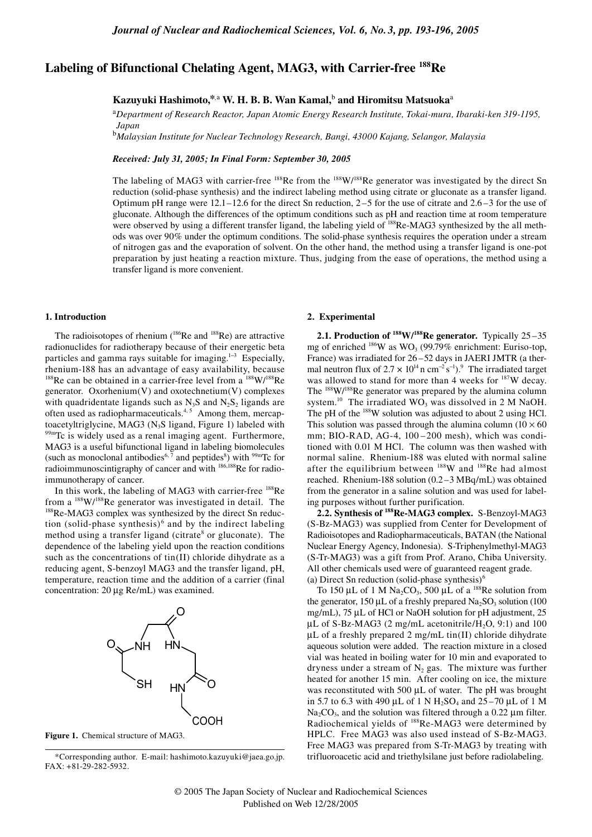# **Labeling of Bifunctional Chelating Agent, MAG3, with Carrier-free 188Re**

## **Kazuyuki Hashimoto,\***,a  **W. H. B. B. Wan Kamal,**<sup>b</sup>  **and Hiromitsu Matsuoka**<sup>a</sup>

<sup>a</sup>*Department of Research Reactor, Japan Atomic Energy Research Institute, Tokai-mura, Ibaraki-ken 319-1195, Japan* 

b *Malaysian Institute for Nuclear Technology Research, Bangi, 43000 Kajang, Selangor, Malaysia* 

*Received: July 31, 2005; In Final Form: September 30, 2005*

The labeling of MAG3 with carrier-free  $188$ Re from the  $188$ W/ $188$ Re generator was investigated by the direct Sn reduction (solid-phase synthesis) and the indirect labeling method using citrate or gluconate as a transfer ligand. Optimum pH range were  $12.1-12.6$  for the direct Sn reduction,  $2-5$  for the use of citrate and  $2.6-3$  for the use of gluconate. Although the differences of the optimum conditions such as pH and reaction time at room temperature were observed by using a different transfer ligand, the labeling yield of <sup>188</sup>Re-MAG3 synthesized by the all methods was over 90% under the optimum conditions. The solid-phase synthesis requires the operation under a stream of nitrogen gas and the evaporation of solvent. On the other hand, the method using a transfer ligand is one-pot preparation by just heating a reaction mixture. Thus, judging from the ease of operations, the method using a transfer ligand is more convenient.

#### **1. Introduction**

The radioisotopes of rhenium  $(^{186}$ Re and  $^{188}$ Re) are attractive radionuclides for radiotherapy because of their energetic beta particles and gamma rays suitable for imaging.<sup>1-3</sup> Especially, rhenium-188 has an advantage of easy availability, because  $188$ Re can be obtained in a carrier-free level from a  $188$ W/ $188$ Re generator. Oxorhenium(V) and oxotechnetium(V) complexes with quadridentate ligands such as  $N_3S$  and  $N_2S_2$  ligands are often used as radiopharmaceuticals. $4, 5$  Among them, mercaptoacetyltriglycine, MAG3 (N<sub>3</sub>S ligand, Figure 1) labeled with  $99mTc$  is widely used as a renal imaging agent. Furthermore, MAG3 is a useful bifunctional ligand in labeling biomolecules (such as monoclonal antibodies<sup>6, 7</sup> and peptides<sup>8</sup>) with <sup>99m</sup>Tc for radioimmunoscintigraphy of cancer and with <sup>186,188</sup>Re for radioimmunotherapy of cancer.

In this work, the labeling of MAG3 with carrier-free  $^{188}$ Re from a  $188 \text{W}/188 \text{Re}$  generator was investigated in detail. The  $188 \text{Re-MAG3}$  complex was synthesized by the direct Sn reduction (solid-phase synthesis) $<sup>6</sup>$  and by the indirect labeling</sup> method using a transfer ligand (citrate<sup>8</sup> or gluconate). The dependence of the labeling yield upon the reaction conditions such as the concentrations of tin(II) chloride dihydrate as a reducing agent, S-benzoyl MAG3 and the transfer ligand, pH, temperature, reaction time and the addition of a carrier (final concentration: 20 µg Re/mL) was examined.





\*Corresponding author. E-mail: hashimoto.kazuyuki@jaea.go.jp. FAX: +81-29-282-5932.

#### **2. Experimental**

**2.1. Production of 188W/188Re generator.** Typically 25 –35 mg of enriched  $^{186}$ W as WO<sub>3</sub> (99.79% enrichment: Euriso-top, France) was irradiated for 26 –52 days in JAERI JMTR (a thermal neutron flux of  $2.7 \times 10^{14}$ n cm<sup>-2</sup> s<sup>-1</sup>).<sup>9</sup> The irradiated target was allowed to stand for more than 4 weeks for  $187W$  decay. The <sup>188</sup>W/<sup>188</sup>Re generator was prepared by the alumina column system.<sup>10</sup> The irradiated WO<sub>3</sub> was dissolved in 2 M NaOH. The pH of the <sup>188</sup>W solution was adjusted to about 2 using HCl. This solution was passed through the alumina column ( $10 \times 60$ ) mm; BIO-RAD, AG-4, 100-200 mesh), which was conditioned with 0.01 M HCl. The column was then washed with normal saline. Rhenium-188 was eluted with normal saline after the equilibrium between <sup>188</sup>W and <sup>188</sup>Re had almost reached. Rhenium-188 solution (0.2 –3 MBq/mL) was obtained from the generator in a saline solution and was used for labeling purposes without further purification.

**2.2. Synthesis of 188Re-MAG3 complex.** S-Benzoyl-MAG3 (S-Bz-MAG3) was supplied from Center for Development of Radioisotopes and Radiopharmaceuticals, BATAN (the National Nuclear Energy Agency, Indonesia). S-Triphenylmethyl-MAG3 (S-Tr-MAG3) was a gift from Prof. Arano, Chiba University. All other chemicals used were of guaranteed reagent grade. (a) Direct Sn reduction (solid-phase synthesis) $<sup>6</sup>$ </sup>

To 150 µL of 1 M Na<sub>2</sub>CO<sub>3</sub>, 500 µL of a <sup>188</sup>Re solution from the generator, 150  $\mu$ L of a freshly prepared Na<sub>2</sub>SO<sub>3</sub> solution (100 mg/mL), 75 µL of HCl or NaOH solution for pH adjustment, 25  $\mu$ L of S-Bz-MAG3 (2 mg/mL acetonitrile/H<sub>2</sub>O, 9:1) and 100  $\mu$ L of a freshly prepared 2 mg/mL tin(II) chloride dihydrate aqueous solution were added. The reaction mixture in a closed vial was heated in boiling water for 10 min and evaporated to dryness under a stream of  $N_2$  gas. The mixture was further heated for another 15 min. After cooling on ice, the mixture was reconstituted with 500 µL of water. The pH was brought in 5.7 to 6.3 with 490  $\mu$ L of 1 N H<sub>2</sub>SO<sub>4</sub> and 25 – 70  $\mu$ L of 1 M  $Na<sub>2</sub>CO<sub>3</sub>$ , and the solution was filtered through a 0.22 µm filter. Radiochemical yields of 188Re-MAG3 were determined by HPLC. Free MAG3 was also used instead of S-Bz-MAG3. Free MAG3 was prepared from S-Tr-MAG3 by treating with trifluoroacetic acid and triethylsilane just before radiolabeling.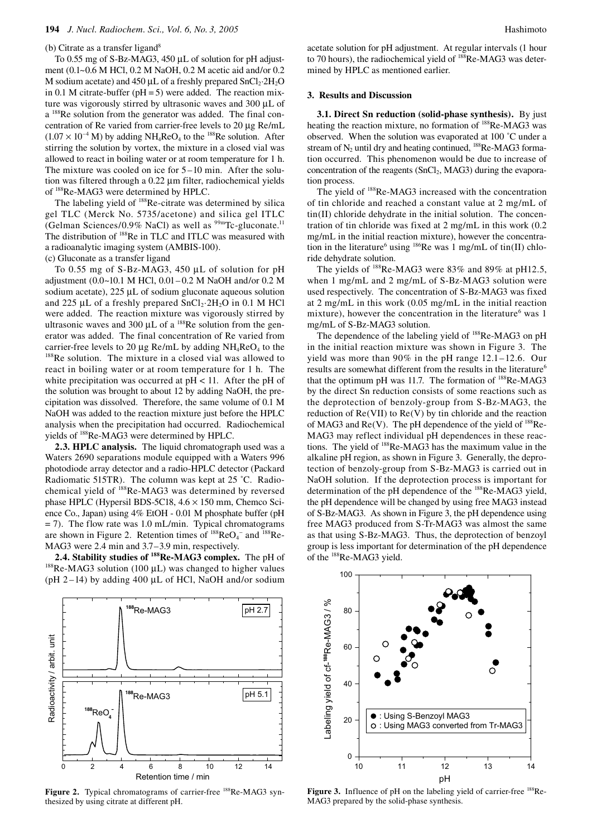#### (b) Citrate as a transfer ligand $8$

To 0.55 mg of S-Bz-MAG3, 450 µL of solution for pH adjustment (0.1~0.6 M HCl, 0.2 M NaOH, 0.2 M acetic aid and/or 0.2 M sodium acetate) and 450  $\mu$ L of a freshly prepared SnCl<sub>2</sub>·2H<sub>2</sub>O in 0.1 M citrate-buffer ( $pH = 5$ ) were added. The reaction mixture was vigorously stirred by ultrasonic waves and 300 µL of a <sup>188</sup>Re solution from the generator was added. The final concentration of Re varied from carrier-free levels to 20 µg Re/mL  $(1.07 \times 10^{-4} \text{ M})$  by adding NH<sub>4</sub>ReO<sub>4</sub> to the <sup>188</sup>Re solution. After stirring the solution by vortex, the mixture in a closed vial was allowed to react in boiling water or at room temperature for 1 h. The mixture was cooled on ice for 5 –10 min. After the solution was filtered through a 0.22 µm filter, radiochemical yields of 188Re-MAG3 were determined by HPLC.

The labeling yield of 188Re-citrate was determined by silica gel TLC (Merck No. 5735/acetone) and silica gel ITLC (Gelman Sciences/0.9% NaCl) as well as  $99mTc$ -gluconate.<sup>11</sup> The distribution of <sup>188</sup>Re in TLC and ITLC was measured with a radioanalytic imaging system (AMBIS-100).

(c) Gluconate as a transfer ligand

To 0.55 mg of S-Bz-MAG3, 450 µL of solution for pH adjustment (0.0~10.1 M HCl, 0.01– 0.2 M NaOH and/or 0.2 M sodium acetate),  $225 \mu L$  of sodium gluconate aqueous solution and 225  $\mu$ L of a freshly prepared SnCl<sub>2</sub>·2H<sub>2</sub>O in 0.1 M HCl were added. The reaction mixture was vigorously stirred by ultrasonic waves and 300  $\mu$ L of a <sup>188</sup>Re solution from the generator was added. The final concentration of Re varied from carrier-free levels to 20  $\mu$ g Re/mL by adding NH<sub>4</sub>ReO<sub>4</sub> to the <sup>188</sup>Re solution. The mixture in a closed vial was allowed to react in boiling water or at room temperature for 1 h. The white precipitation was occurred at  $pH < 11$ . After the pH of the solution was brought to about 12 by adding NaOH, the precipitation was dissolved. Therefore, the same volume of 0.1 M NaOH was added to the reaction mixture just before the HPLC analysis when the precipitation had occurred. Radiochemical yields of 188Re-MAG3 were determined by HPLC.

**2.3. HPLC analysis.** The liquid chromatograph used was a Waters 2690 separations module equipped with a Waters 996 photodiode array detector and a radio-HPLC detector (Packard Radiomatic 515TR). The column was kept at 25 ˚C. Radiochemical yield of 188Re-MAG3 was determined by reversed phase HPLC (Hypersil BDS-5C18,  $4.6 \times 150$  mm, Chemco Science Co., Japan) using 4% EtOH - 0.01 M phosphate buffer (pH  $= 7$ ). The flow rate was 1.0 mL/min. Typical chromatograms are shown in Figure 2. Retention times of  $^{188}$ ReO<sub>4</sub><sup>-</sup> and  $^{188}$ Re-

MAG3 were 2.4 min and 3.7–3.9 min, respectively.<br>2.4. Stability studies of <sup>188</sup>Re-MAG3 complex. The pH of <sup>188</sup>Re-MAG3 solution (100 µL) was changed to higher values (pH  $2-14$ ) by adding 400 µL of HCl, NaOH and/or sodium

acetate solution for pH adjustment. At regular intervals (1 hour to 70 hours), the radiochemical yield of <sup>188</sup>Re-MAG3 was determined by HPLC as mentioned earlier.

#### **3. Results and Discussion**

**3.1. Direct Sn reduction (solid-phase synthesis).** By just heating the reaction mixture, no formation of <sup>188</sup>Re-MAG3 was observed. When the solution was evaporated at 100 ˚C under a stream of  $N_2$  until dry and heating continued,  $^{188}$ Re-MAG3 formation occurred. This phenomenon would be due to increase of concentration of the reagents  $(SnCl<sub>2</sub>, MAG<sub>3</sub>)$  during the evaporation process.

The yield of 188Re-MAG3 increased with the concentration of tin chloride and reached a constant value at 2 mg/mL of tin(II) chloride dehydrate in the initial solution. The concentration of tin chloride was fixed at 2 mg/mL in this work (0.2 mg/mL in the initial reaction mixture), however the concentration in the literature<sup>6</sup> using <sup>186</sup>Re was 1 mg/mL of tin(II) chloride dehydrate solution.

The yields of <sup>188</sup>Re-MAG3 were 83% and 89% at pH12.5, when 1 mg/mL and 2 mg/mL of S-Bz-MAG3 solution were used respectively. The concentration of S-Bz-MAG3 was fixed at 2 mg/mL in this work (0.05 mg/mL in the initial reaction mixture), however the concentration in the literature<sup>6</sup> was 1 mg/mL of S-Bz-MAG3 solution.

The dependence of the labeling yield of <sup>188</sup>Re-MAG3 on pH in the initial reaction mixture was shown in Figure 3. The yield was more than 90% in the pH range 12.1–12.6. Our results are somewhat different from the results in the literature<sup>6</sup> that the optimum pH was 11.7. The formation of <sup>188</sup>Re-MAG3 by the direct Sn reduction consists of some reactions such as the deprotection of benzoly-group from S-Bz-MAG3, the reduction of Re(VII) to Re(V) by tin chloride and the reaction of MAG3 and  $Re(V)$ . The pH dependence of the yield of  $^{188}Re-$ MAG3 may reflect individual pH dependences in these reactions. The yield of 188Re-MAG3 has the maximum value in the alkaline pH region, as shown in Figure 3. Generally, the deprotection of benzoly-group from S-Bz-MAG3 is carried out in NaOH solution. If the deprotection process is important for determination of the pH dependence of the 188Re-MAG3 yield, the pH dependence will be changed by using free MAG3 instead of S-Bz-MAG3. As shown in Figure 3, the pH dependence using free MAG3 produced from S-Tr-MAG3 was almost the same as that using S-Bz-MAG3. Thus, the deprotection of benzoyl group is less important for determination of the pH dependence of the 188Re-MAG3 yield.



Figure 2. Typical chromatograms of carrier-free <sup>188</sup>Re-MAG3 synthesized by using citrate at different pH.



Figure 3. Influence of pH on the labeling yield of carrier-free <sup>188</sup>Re-MAG3 prepared by the solid-phase synthesis.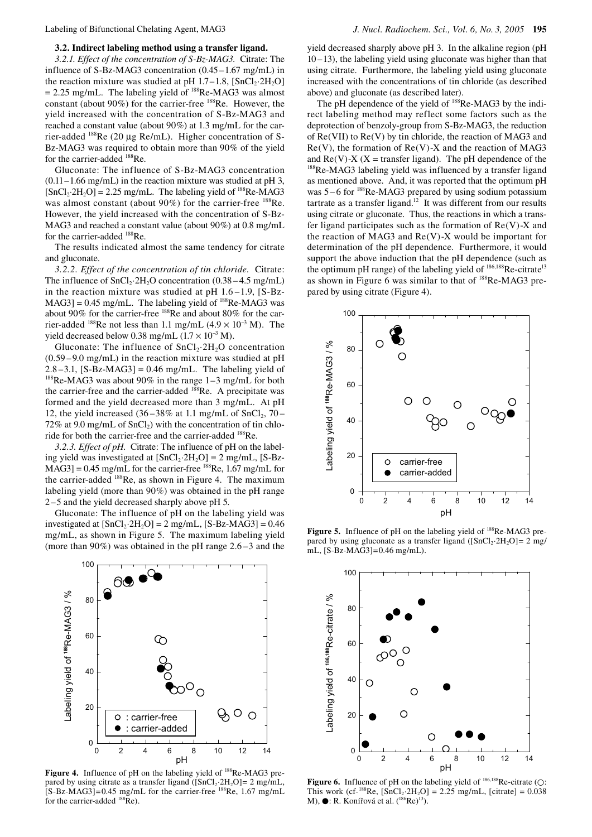#### **3.2. Indirect labeling method using a transfer ligand.**

*3.2.1. Effect of the concentration of S-Bz-MAG3.* Citrate: The influence of S-Bz-MAG3 concentration (0.45 –1.67 mg/mL) in the reaction mixture was studied at pH  $1.7-1.8$ ,  $\text{[SnCl}_2\text{-}2H_2\text{O]}$  $= 2.25$  mg/mL. The labeling yield of  $^{188}$ Re-MAG3 was almost constant (about  $90\%$ ) for the carrier-free  $^{188}$ Re. However, the yield increased with the concentration of S-Bz-MAG3 and reached a constant value (about 90%) at 1.3 mg/mL for the carrier-added 188Re (20 µg Re/mL). Higher concentration of S-Bz-MAG3 was required to obtain more than 90% of the yield for the carrier-added <sup>188</sup>Re.

Gluconate: The influence of S-Bz-MAG3 concentration  $(0.11-1.66 \text{ mg/mL})$  in the reaction mixture was studied at pH 3,  $[SnCl<sub>2</sub>·2H<sub>2</sub>O] = 2.25$  mg/mL. The labeling yield of <sup>188</sup>Re-MAG3 was almost constant (about 90%) for the carrier-free <sup>188</sup>Re. However, the yield increased with the concentration of S-Bz-MAG3 and reached a constant value (about 90%) at 0.8 mg/mL for the carrier-added <sup>188</sup>Re.

The results indicated almost the same tendency for citrate and gluconate.

*3.2.2. Effect of the concentration of tin chloride.* Citrate: The influence of  $SnCl<sub>2</sub>·2H<sub>2</sub>O concentration (0.38 – 4.5 mg/mL)$ in the reaction mixture was studied at pH 1.6 –1.9, [S-Bz- $MAG3$ ] = 0.45 mg/mL. The labeling yield of  $^{188}$ Re-MAG3 was about 90% for the carrier-free 188Re and about 80% for the carrier-added <sup>188</sup>Re not less than 1.1 mg/mL  $(4.9 \times 10^{-3} \text{ M})$ . The yield decreased below 0.38 mg/mL  $(1.7 \times 10^{-3}$  M).

Gluconate: The influence of  $SnCl<sub>2</sub>·2H<sub>2</sub>O$  concentration (0.59 – 9.0 mg/mL) in the reaction mixture was studied at pH  $2.8 - 3.1$ ,  $[S-Bz-MAG3] = 0.46$  mg/mL. The labeling yield of  $188$ Re-MAG3 was about 90% in the range 1–3 mg/mL for both the carrier-free and the carrier-added <sup>188</sup>Re. A precipitate was formed and the yield decreased more than 3 mg/mL. At pH 12, the yield increased  $(36-38\%$  at 1.1 mg/mL of SnCl<sub>2</sub>, 70 –  $72\%$  at 9.0 mg/mL of SnCl<sub>2</sub>) with the concentration of tin chloride for both the carrier-free and the carrier-added 188Re.

*3.2.3. Effect of pH.* Citrate: The influence of pH on the labeling yield was investigated at  $[SnCl<sub>2</sub>·2H<sub>2</sub>O] = 2 mg/mL$ ,  $[S-Bz MAG3$ ] = 0.45 mg/mL for the carrier-free <sup>188</sup>Re, 1.67 mg/mL for the carrier-added <sup>188</sup>Re, as shown in Figure 4. The maximum labeling yield (more than 90%) was obtained in the pH range 2 –5 and the yield decreased sharply above pH 5.

Gluconate: The influence of pH on the labeling yield was investigated at  $[SnCl<sub>2</sub>·2H<sub>2</sub>O] = 2 mg/mL$ ,  $[S-Bz-MAG3] = 0.46$ mg/mL, as shown in Figure 5. The maximum labeling yield (more than 90%) was obtained in the pH range 2.6 –3 and the



Figure 4. Influence of pH on the labeling yield of <sup>188</sup>Re-MAG3 prepared by using citrate as a transfer ligand  $($ [SnCl<sub>2</sub>·2H<sub>2</sub>O]= 2 mg/mL,  $[$ S-Bz-MAG3]=0.45 mg/mL for the carrier-free  $^{188}$ Re, 1.67 mg/mL for the carrier-added  $^{188}$ Re).

yield decreased sharply above pH 3. In the alkaline region (pH 10 –13), the labeling yield using gluconate was higher than that using citrate. Furthermore, the labeling yield using gluconate increased with the concentrations of tin chloride (as described above) and gluconate (as described later).

The pH dependence of the yield of <sup>188</sup>Re-MAG3 by the indirect labeling method may reflect some factors such as the deprotection of benzoly-group from S-Bz-MAG3, the reduction of Re(VII) to Re(V) by tin chloride, the reaction of MAG3 and  $Re(V)$ , the formation of  $Re(V)$ -X and the reaction of MAG3 and  $Re(V)$ -X (X = transfer ligand). The pH dependence of the <sup>188</sup>Re-MAG3 labeling yield was influenced by a transfer ligand as mentioned above. And, it was reported that the optimum pH was  $5 - 6$  for  $^{188}$ Re-MAG3 prepared by using sodium potassium tartrate as a transfer ligand.<sup>12</sup> It was different from our results using citrate or gluconate. Thus, the reactions in which a transfer ligand participates such as the formation of  $Re(V)$ -X and the reaction of MAG3 and  $Re(V)$ -X would be important for determination of the pH dependence. Furthermore, it would support the above induction that the pH dependence (such as the optimum pH range) of the labeling yield of <sup>186,188</sup>Re-citrate<sup>13</sup> as shown in Figure 6 was similar to that of 188Re-MAG3 prepared by using citrate (Figure 4).



Figure 5. Influence of pH on the labeling yield of <sup>188</sup>Re-MAG3 prepared by using gluconate as a transfer ligand ( $[SnCl<sub>2</sub>·2H<sub>2</sub>O]= 2$  mg/ mL, [S-Bz-MAG3]=0.46 mg/mL).



**Figure 6.** Influence of pH on the labeling yield of <sup>186,188</sup>Re-citrate (○: This work (cf-<sup>188</sup>Re,  $[\text{SnCl}_2 \cdot 2\text{H}_2\text{O}] = 2.25 \text{ mg/mL}$ , [citrate] = 0.038 M),  $\bullet$ : R. Konířová et al.  $(^{186}Re)^{13}$ .